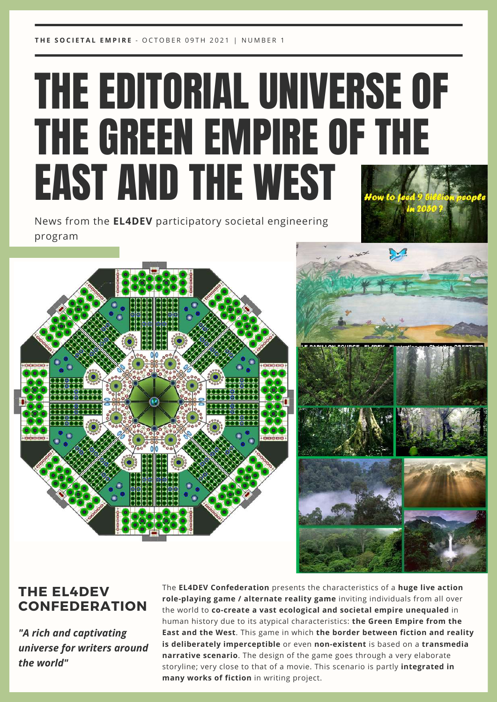**T H E S O C I E T A L E M P I R E** - O C T O B E R 0 9 T H 2 0 2 1 | N U M B E R 1

## THE EDITORIAL UNIVERSE OF THE GREEN EMPIRE OF THE EAST AND THE WEST

News from the **EL4DEV** participatory societal engineering program







## **THE EL4DEV CONFEDERATION**

*"A rich and captivating universe for writers around the world"*

The **EL4DEV Confederation** presents the characteristics of a **huge live action role-playing game / alternate reality game** inviting individuals from all over the world to **co-create a vast ecological and societal empire unequaled** in human history due to its atypical characteristics: **the Green Empire from the East and the West**. This game in which **the border between fiction and reality is deliberately imperceptible** or even **non-existent** is based on a **transmedia narrative scenario**. The design of the game goes through a very elaborate storyline; very close to that of a movie. This scenario is partly **integrated in many works of fiction** in writing project.